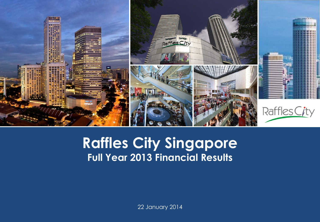

#### **CapitaLand Group**<br>CapitaLand Group<br>CapitaLand Group CapitaLand Group<br>CapitaLand Group CapitaLand Group CapitaLand Group **Presentation Template Raffles City Singapore Full Year 2013 Financial Results**

22 January 2014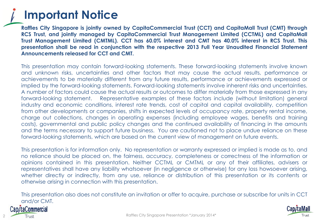### **Important Notice**

**Raffles City Singapore is jointly owned by CapitaCommercial Trust (CCT) and CapitaMall Trust (CMT) through RCS Trust, and jointly managed by CapitaCommercial Trust Management Limited (CCTML) and CapitaMall Trust Management Limited (CMTML). CCT has 60.0% interest and CMT has 40.0% interest in RCS Trust. This presentation shall be read in conjunction with the respective 2013 Full Year Unaudited Financial Statement Announcements released for CCT and CMT.**

This presentation may contain forward-looking statements. These forward-looking statements involve known and unknown risks, uncertainties and other factors that may cause the actual results, performance or achievements to be materially different from any future results, performance or achievements expressed or implied by the forward-looking statements. Forward-looking statements involve inherent risks and uncertainties. A number of factors could cause the actual results or outcomes to differ materially from those expressed in any forward-looking statement. Representative examples of these factors include (without limitation) general industry and economic conditions, interest rate trends, cost of capital and capital availability, competition from other developments or companies, shifts in expected levels of occupancy rate, property rental income, charge out collections, changes in operating expenses (including employee wages, benefits and training costs), governmental and public policy changes and the continued availability of financing in the amounts and the terms necessary to support future business. You are cautioned not to place undue reliance on these forward-looking statements, which are based on the current view of management on future events.

This presentation is for information only. No representation or warranty expressed or implied is made as to, and no reliance should be placed on, the fairness, accuracy, completeness or correctness of the information or opinions contained in this presentation. Neither CCTML or CMTML or any of their affiliates, advisers or representatives shall have any liability whatsoever (in negligence or otherwise) for any loss howsoever arising, whether directly or indirectly, from any use, reliance or distribution of this presentation or its contents or otherwise arising in connection with this presentation.

This presentation also does not constitute an invitation or offer to acquire, purchase or subscribe for units in CCT and/or CMT.

#### taCommercia Trust

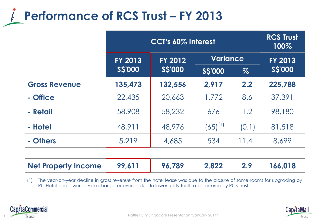## **Performance of RCS Trust - FY 2013**

|                      | CCT's 60% Interest        |               |               |       | <b>RCS Trust</b><br>100% |
|----------------------|---------------------------|---------------|---------------|-------|--------------------------|
|                      | <b>FY 2013</b><br>FY 2012 |               | Variance      |       | <b>FY 2013</b>           |
|                      | <b>SS'000</b>             | <b>SS'000</b> | <b>SS'000</b> | $\%$  | <b>S\$'000</b>           |
| <b>Gross Revenue</b> | 135,473                   | 132,556       | 2,917         | 2.2   | 225,788                  |
| - Office             | 22,435                    | 20,663        | 1,772         | 8.6   | 37,391                   |
| - Retail             | 58,908                    | 58,232        | 676           | 1.2   | 98,180                   |
| - Hotel              | 48,911                    | 48,976        | $(65)^{(1)}$  | (0.1) | 81,518                   |
| - Others             | 5,219                     | 4,685         | 534           | 11.4  | 8,699                    |

| Net Property Income   99,611   96,789 |  |  | 2,822 |  | 166,018 |
|---------------------------------------|--|--|-------|--|---------|
|---------------------------------------|--|--|-------|--|---------|

(1) The year-on-year decline in gross revenue from the hotel lease was due to the closure of some rooms for upgrading by RC Hotel and lower service charge recovered due to lower utility tariff rates secured by RCS Trust.



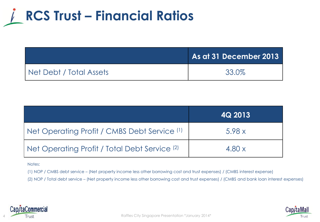

|                         | As at 31 December 2013 |
|-------------------------|------------------------|
| Net Debt / Total Assets | 33.0%                  |

|                                                          | 4Q 2013 |
|----------------------------------------------------------|---------|
| Net Operating Profit / CMBS Debt Service (1)             | 5.98x   |
| Net Operating Profit / Total Debt Service <sup>(2)</sup> | 4.80x   |

Notes:

(1) NOP / CMBS debt service – (Net property income less other borrowing cost and trust expenses) / (CMBS interest expense)

(2) NOP / Total debt service – (Net property income less other borrowing cost and trust expenses) / (CMBS and bank loan interest expenses)



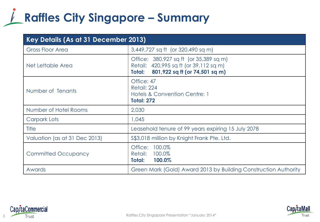## **Raffles City Singapore – Summary**

| Key Details (As at 31 December 2013) |                                                                                                                              |  |
|--------------------------------------|------------------------------------------------------------------------------------------------------------------------------|--|
| <b>Gross Floor Area</b>              | 3,449,727 sq ft (or 320,490 sq m)                                                                                            |  |
| Net Lettable Area                    | Office: 380,927 sq ft (or 35,389 sq m)<br>Retail: 420,995 sq ft (or 39,112 sq m)<br>801,922 sq ft (or 74,501 sq m)<br>Total: |  |
| Number of Tenants                    | Office: 47<br>Retail: 224<br><b>Hotels &amp; Convention Centre: 1</b><br><b>Total: 272</b>                                   |  |
| Number of Hotel Rooms                | 2,030                                                                                                                        |  |
| Carpark Lots                         | 1,045                                                                                                                        |  |
| <b>Title</b>                         | Leasehold tenure of 99 years expiring 15 July 2078                                                                           |  |
| Valuation (as at 31 Dec 2013)        | \$\$3,018 million by Knight Frank Pte. Ltd.                                                                                  |  |
| <b>Committed Occupancy</b>           | Office: 100.0%<br>Retail: 100.0%<br>Total:<br>100.0%                                                                         |  |
| Awards                               | Green Mark (Gold) Award 2013 by Building Construction Authority                                                              |  |



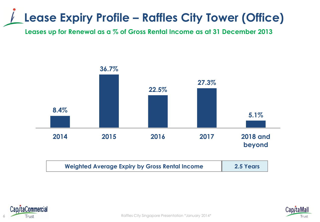## **Lease Expiry Profile – Raffles City Tower (Office)**

**Leases up for Renewal as a % of Gross Rental Income as at 31 December 2013**





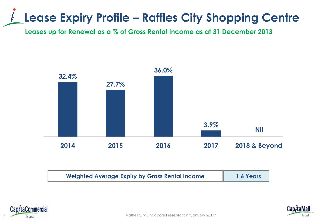## **Lease Expiry Profile – Raffles City Shopping Centre**

**Leases up for Renewal as a % of Gross Rental Income as at 31 December 2013**



| <b>Weighted Average Expiry by Gross Rental Income</b> | 1.6 Years |
|-------------------------------------------------------|-----------|
|                                                       |           |





Raffles City Singapore Presentation \*January 2014\*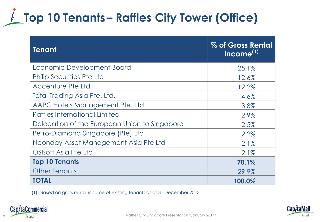## **Top 10 Tenants – Raffles City Tower (Office)**

| <b>Tenant</b>                                 | % of Gross Rental<br>Income <sup>(1)</sup> |
|-----------------------------------------------|--------------------------------------------|
| Economic Development Board                    | 25.1%                                      |
| <b>Philip Securities Pte Ltd</b>              | 12.6%                                      |
| <b>Accenture Pte Ltd</b>                      | 12.2%                                      |
| Total Trading Asia Pte. Ltd.                  | 4.6%                                       |
| AAPC Hotels Management Pte. Ltd.              | 3.8%                                       |
| Raffles International Limited                 | 2.9%                                       |
| Delegation of the European Union to Singapore | 2.5%                                       |
| Petro-Diamond Singapore (Pte) Ltd             | 2.2%                                       |
| Noonday Asset Management Asia Pte Ltd         | 2.1%                                       |
| OSIsoft Asia Pte Ltd                          | 2.1%                                       |
| <b>Top 10 Tenants</b>                         | 70.1%                                      |
| <b>Other Tenants</b>                          | 29.9%                                      |
| <b>TOTAL</b>                                  | 100.0%                                     |

(1) Based on gross rental income of existing tenants as at 31 December 2013.



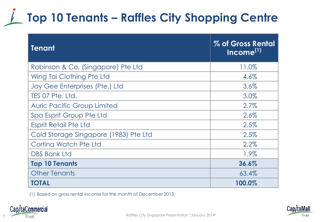## **Top 10 Tenants – Raffles City Shopping Centre**

| <b>Tenant</b>                         | % of Gross Rental<br>Income <sup>(1)</sup> |
|---------------------------------------|--------------------------------------------|
| Robinson & Co. (Singapore) Pte Ltd    | 11.0%                                      |
| Wing Tai Clothing Pte Ltd             | 4.6%                                       |
| Jay Gee Enterprises (Pte.) Ltd        | 3.6%                                       |
| TES 07 Pte. Ltd.                      | 3.0%                                       |
| <b>Auric Pacific Group Limited</b>    | 2.7%                                       |
| Spa Esprit Group Pte Ltd              | 2.6%                                       |
| <b>Esprit Retail Pte Ltd</b>          | 2.5%                                       |
| Cold Storage Singapore (1983) Pte Ltd | 2.5%                                       |
| Cortina Watch Pte Ltd                 | 2.2%                                       |
| <b>DBS Bank Ltd</b>                   | 1.9%                                       |
| <b>Top 10 Tenants</b>                 | 36.6%                                      |
| <b>Other Tenants</b>                  | 63.4%                                      |
| <b>TOTAL</b>                          | 100.0%                                     |

(1) Based on gross rental income for the month of December 2013.



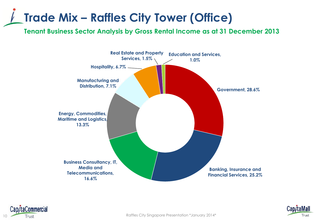## **Trade Mix – Raffles City Tower (Office)**

**Tenant Business Sector Analysis by Gross Rental Income as at 31 December 2013**





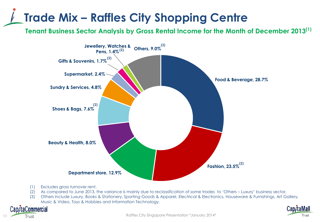## **Trade Mix – Raffles City Shopping Centre**

**Tenant Business Sector Analysis by Gross Rental Income for the Month of December 2013(1)**



- (1) Excludes gross turnover rent.
- (2) As compared to June 2013, the variance is mainly due to reclassification of some trades to 'Others Luxury' business sector.
- (3) Others include Luxury, Books & Stationery, Sporting Goods & Apparel, Electrical & Electronics, Houseware & Furnishings, Art Gallery, Music & Video, Toys & Hobbies and Information Technology.

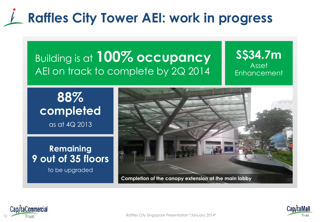## **Raffles City Tower AEI: work in progress**

#### Building is at **100% occupancy**  AEI on track to complete by 2Q 2014

#### **S\$34.7m** Asset Enhancement

**88% completed**  as at 4Q 2013

**Remaining 9 out of 35 floors** to be upgraded

**Completion of the canopy extension at the main lobby**